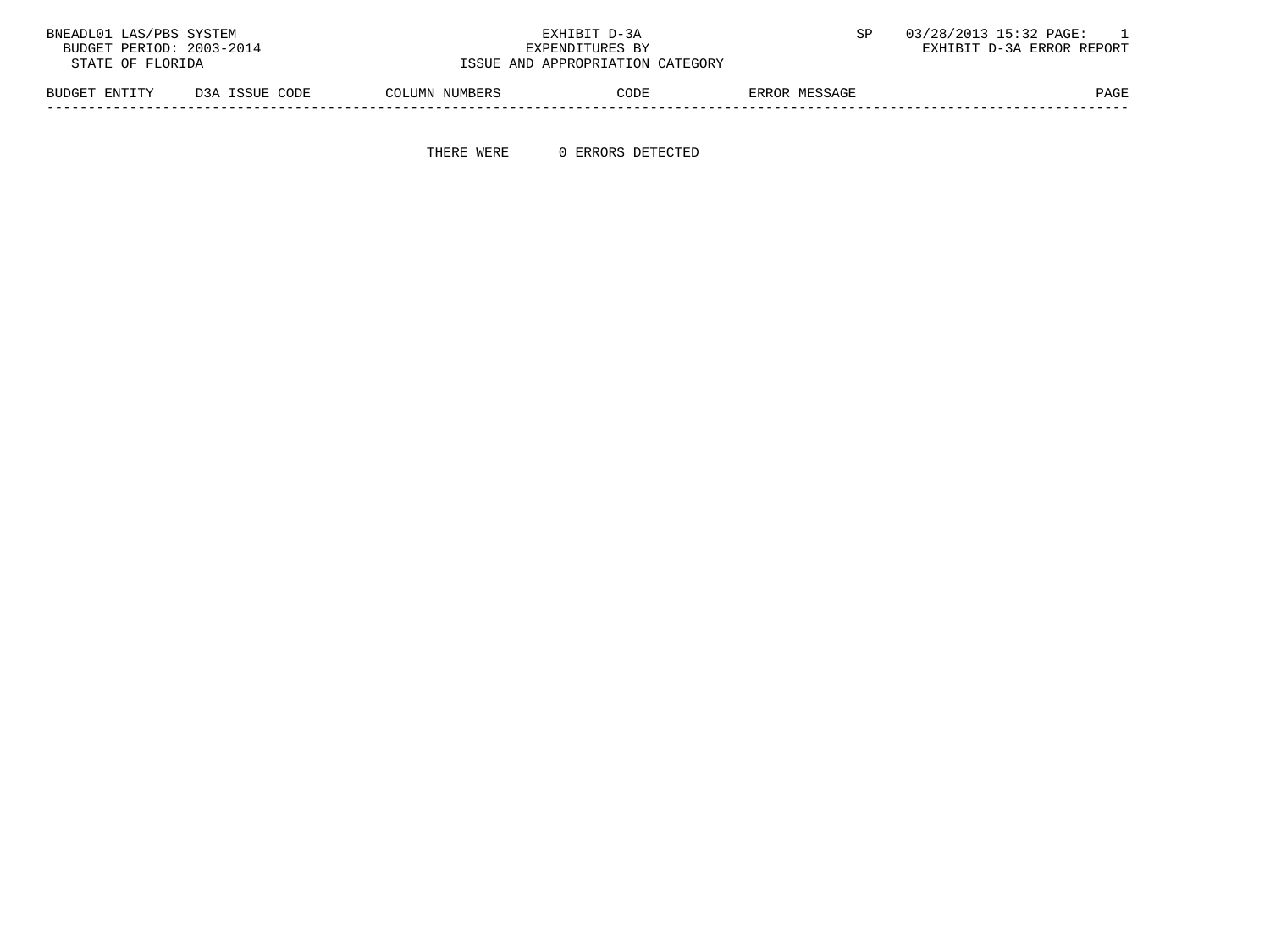| BNEADL01 LAS/PBS SYSTEM                              |                |                | EXHIBIT D-3A    |               | 03/28/2013 15:32 PAGE:    |
|------------------------------------------------------|----------------|----------------|-----------------|---------------|---------------------------|
| BUDGET PERIOD: 2003-2014                             |                |                | EXPENDITURES BY |               | EXHIBIT D-3A ERROR REPORT |
| ISSUE AND APPROPRIATION CATEGORY<br>STATE OF FLORIDA |                |                |                 |               |                           |
| BUDGET ENTITY                                        | D3A ISSUE CODE | COLUMN NUMBERS | CODE            | ERROR MESSAGE | PAGE                      |

THERE WERE 0 ERRORS DETECTED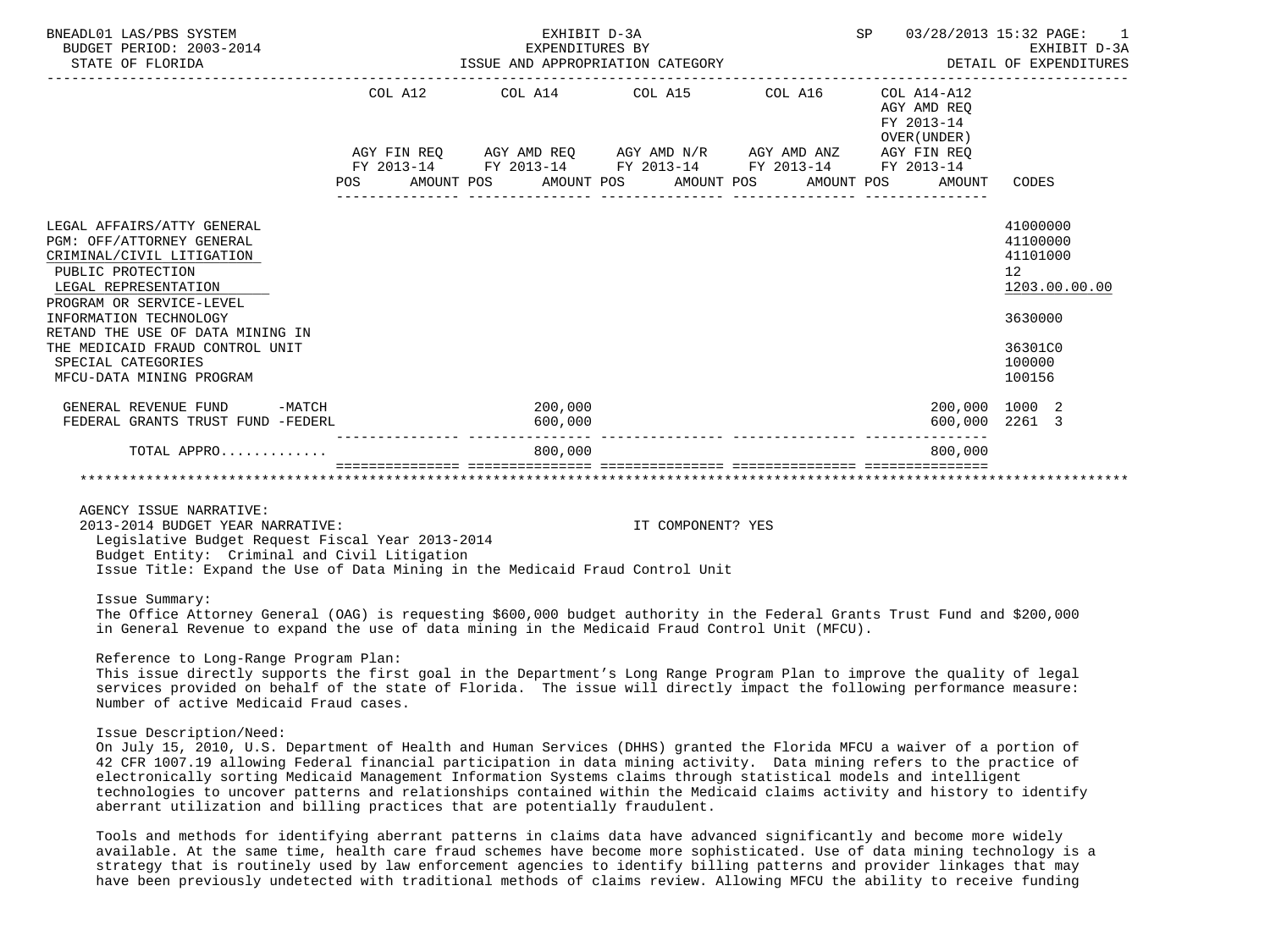| BNEADL01 LAS/PBS SYSTEM<br>BUDGET PERIOD: 2003-2014<br>STATE OF FLORIDA                                                                                                                                                                                                                                          |     | EXHIBIT D-3A                                                | SP 03/28/2013 15:32 PAGE: 1<br>EXPENDITURES BY EXHIBIT D-3A<br>ISSUE AND APPROPRIATION CATEGORY STAND AND APPROPRIATION CATEGORY |                                           |                                                                                                   |
|------------------------------------------------------------------------------------------------------------------------------------------------------------------------------------------------------------------------------------------------------------------------------------------------------------------|-----|-------------------------------------------------------------|----------------------------------------------------------------------------------------------------------------------------------|-------------------------------------------|---------------------------------------------------------------------------------------------------|
|                                                                                                                                                                                                                                                                                                                  |     | COL A12 COL A14 COL A15 COL A16 COL A14-A12                 |                                                                                                                                  | AGY AMD REO<br>FY 2013-14<br>OVER (UNDER) |                                                                                                   |
|                                                                                                                                                                                                                                                                                                                  |     | AGY FIN REQ AGY AMD REQ AGY AMD N/R AGY AMD ANZ AGY FIN REQ |                                                                                                                                  |                                           |                                                                                                   |
|                                                                                                                                                                                                                                                                                                                  |     | FY 2013-14 FY 2013-14 FY 2013-14 FY 2013-14 FY 2013-14      |                                                                                                                                  |                                           |                                                                                                   |
|                                                                                                                                                                                                                                                                                                                  | POS | AMOUNT POS AMOUNT POS AMOUNT POS                            |                                                                                                                                  | AMOUNT POS AMOUNT CODES                   |                                                                                                   |
| LEGAL AFFAIRS/ATTY GENERAL<br>PGM: OFF/ATTORNEY GENERAL<br>CRIMINAL/CIVIL LITIGATION<br>PUBLIC PROTECTION<br>LEGAL REPRESENTATION<br>PROGRAM OR SERVICE-LEVEL<br>INFORMATION TECHNOLOGY<br>RETAND THE USE OF DATA MINING IN<br>THE MEDICAID FRAUD CONTROL UNIT<br>SPECIAL CATEGORIES<br>MFCU-DATA MINING PROGRAM |     |                                                             |                                                                                                                                  |                                           | 41000000<br>41100000<br>41101000<br>12<br>1203.00.00.00<br>3630000<br>36301C0<br>100000<br>100156 |
| GENERAL REVENUE FUND<br>$-MATCH$<br>FEDERAL GRANTS TRUST FUND -FEDERL                                                                                                                                                                                                                                            |     | 200,000<br>600,000                                          |                                                                                                                                  | 200,000 1000 2<br>600,000 2261 3          |                                                                                                   |
| TOTAL APPRO                                                                                                                                                                                                                                                                                                      |     | 800,000                                                     |                                                                                                                                  | 800.000                                   |                                                                                                   |
|                                                                                                                                                                                                                                                                                                                  |     |                                                             |                                                                                                                                  |                                           |                                                                                                   |

AGENCY ISSUE NARRATIVE:

 2013-2014 BUDGET YEAR NARRATIVE: IT COMPONENT? YES Legislative Budget Request Fiscal Year 2013-2014 Budget Entity: Criminal and Civil Litigation

Issue Title: Expand the Use of Data Mining in the Medicaid Fraud Control Unit

Issue Summary:

 The Office Attorney General (OAG) is requesting \$600,000 budget authority in the Federal Grants Trust Fund and \$200,000 in General Revenue to expand the use of data mining in the Medicaid Fraud Control Unit (MFCU).

Reference to Long-Range Program Plan:

 This issue directly supports the first goal in the Department's Long Range Program Plan to improve the quality of legal services provided on behalf of the state of Florida. The issue will directly impact the following performance measure: Number of active Medicaid Fraud cases.

Issue Description/Need:

 On July 15, 2010, U.S. Department of Health and Human Services (DHHS) granted the Florida MFCU a waiver of a portion of 42 CFR 1007.19 allowing Federal financial participation in data mining activity. Data mining refers to the practice of electronically sorting Medicaid Management Information Systems claims through statistical models and intelligent technologies to uncover patterns and relationships contained within the Medicaid claims activity and history to identify aberrant utilization and billing practices that are potentially fraudulent.

 Tools and methods for identifying aberrant patterns in claims data have advanced significantly and become more widely available. At the same time, health care fraud schemes have become more sophisticated. Use of data mining technology is a strategy that is routinely used by law enforcement agencies to identify billing patterns and provider linkages that may have been previously undetected with traditional methods of claims review. Allowing MFCU the ability to receive funding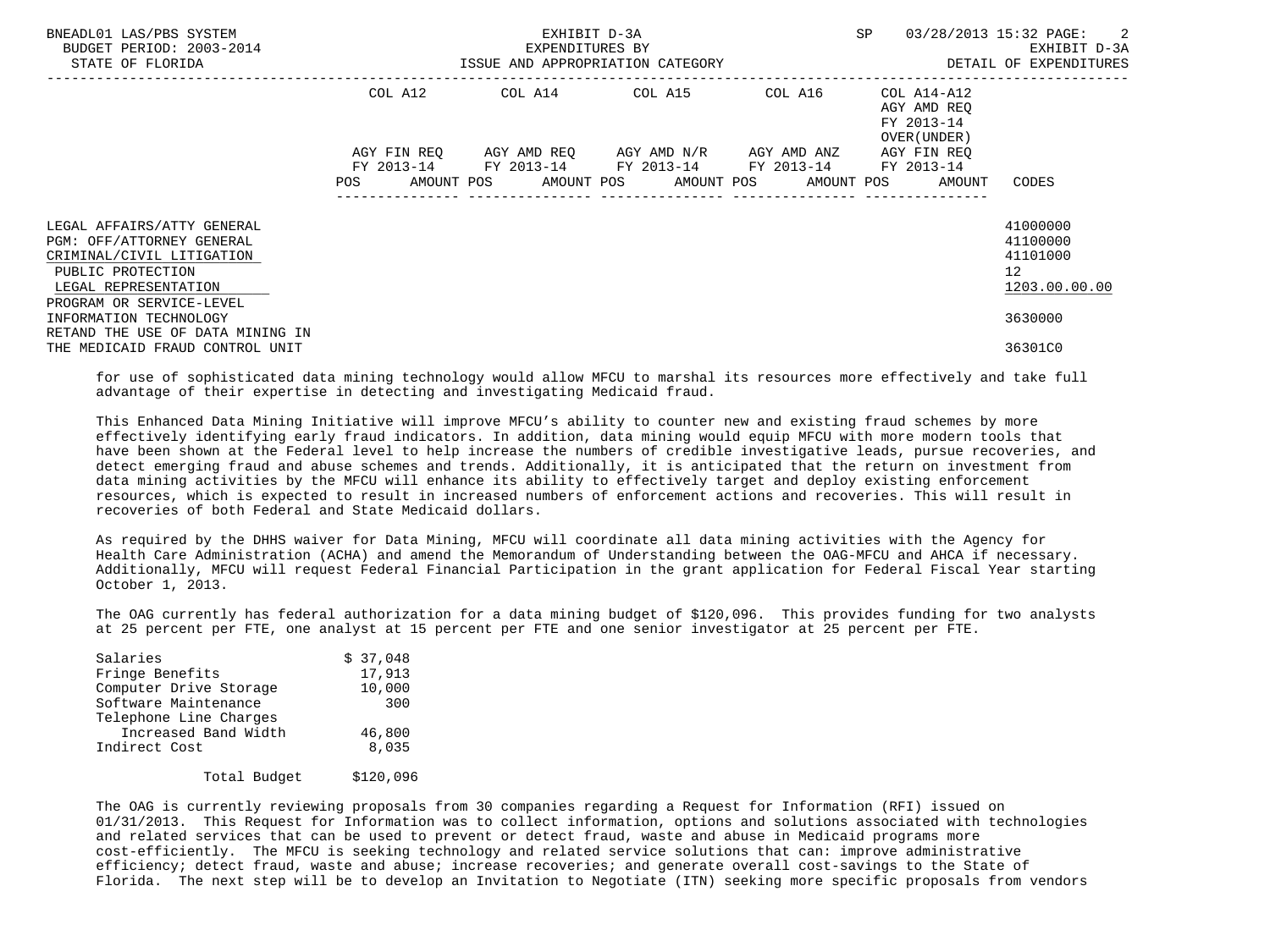| BNEADL01 LAS/PBS SYSTEM<br>BUDGET PERIOD: 2003-2014<br>STATE OF FLORIDA                                                                                       | ISSUE AND APPROPRIATION CATEGORY | EXHIBIT D-3A<br>EXPENDITURES BY | <b>SP</b>                                                   | 03/28/2013 15:32 PAGE: 2<br>EXHIBIT D-3A<br>DETAIL OF EXPENDITURES |                                                                                       |                                                                      |
|---------------------------------------------------------------------------------------------------------------------------------------------------------------|----------------------------------|---------------------------------|-------------------------------------------------------------|--------------------------------------------------------------------|---------------------------------------------------------------------------------------|----------------------------------------------------------------------|
|                                                                                                                                                               | COL A12                          |                                 | COL A14 COL A15 COL A16                                     | --------------------------------                                   | COL A14-A12<br>AGY AMD REO<br>FY 2013-14<br>OVER (UNDER)                              |                                                                      |
|                                                                                                                                                               | AGY FIN REO<br>FY 2013-14<br>POS |                                 | AGY AMD REO AGY AMD N/R<br>FY 2013-14 FY 2013-14 FY 2013-14 | AGY AMD ANZ                                                        | AGY FIN REQ<br>FY 2013-14<br>AMOUNT POS AMOUNT POS AMOUNT POS AMOUNT POS AMOUNT CODES |                                                                      |
| LEGAL AFFAIRS/ATTY GENERAL<br>PGM: OFF/ATTORNEY GENERAL<br>CRIMINAL/CIVIL LITIGATION<br>PUBLIC PROTECTION<br>LEGAL REPRESENTATION<br>PROGRAM OR SERVICE-LEVEL |                                  |                                 |                                                             |                                                                    |                                                                                       | 41000000<br>41100000<br>41101000<br>12 <sup>°</sup><br>1203.00.00.00 |
| INFORMATION TECHNOLOGY<br>RETAND THE USE OF DATA MINING IN<br>THE MEDICAID FRAUD CONTROL UNIT                                                                 |                                  |                                 |                                                             |                                                                    |                                                                                       | 3630000<br>36301C0                                                   |

 for use of sophisticated data mining technology would allow MFCU to marshal its resources more effectively and take full advantage of their expertise in detecting and investigating Medicaid fraud.

 This Enhanced Data Mining Initiative will improve MFCU's ability to counter new and existing fraud schemes by more effectively identifying early fraud indicators. In addition, data mining would equip MFCU with more modern tools that have been shown at the Federal level to help increase the numbers of credible investigative leads, pursue recoveries, and detect emerging fraud and abuse schemes and trends. Additionally, it is anticipated that the return on investment from data mining activities by the MFCU will enhance its ability to effectively target and deploy existing enforcement resources, which is expected to result in increased numbers of enforcement actions and recoveries. This will result in recoveries of both Federal and State Medicaid dollars.

 As required by the DHHS waiver for Data Mining, MFCU will coordinate all data mining activities with the Agency for Health Care Administration (ACHA) and amend the Memorandum of Understanding between the OAG-MFCU and AHCA if necessary. Additionally, MFCU will request Federal Financial Participation in the grant application for Federal Fiscal Year starting October 1, 2013.

 The OAG currently has federal authorization for a data mining budget of \$120,096. This provides funding for two analysts at 25 percent per FTE, one analyst at 15 percent per FTE and one senior investigator at 25 percent per FTE.

| Salaries               | \$37,048 |
|------------------------|----------|
| Fringe Benefits        | 17,913   |
| Computer Drive Storage | 10,000   |
| Software Maintenance   | 300      |
| Telephone Line Charges |          |
| Increased Band Width   | 46,800   |
| Indirect Cost          | 8,035    |
|                        |          |

Total Budget \$120,096

 The OAG is currently reviewing proposals from 30 companies regarding a Request for Information (RFI) issued on 01/31/2013. This Request for Information was to collect information, options and solutions associated with technologies and related services that can be used to prevent or detect fraud, waste and abuse in Medicaid programs more cost-efficiently. The MFCU is seeking technology and related service solutions that can: improve administrative efficiency; detect fraud, waste and abuse; increase recoveries; and generate overall cost-savings to the State of Florida. The next step will be to develop an Invitation to Negotiate (ITN) seeking more specific proposals from vendors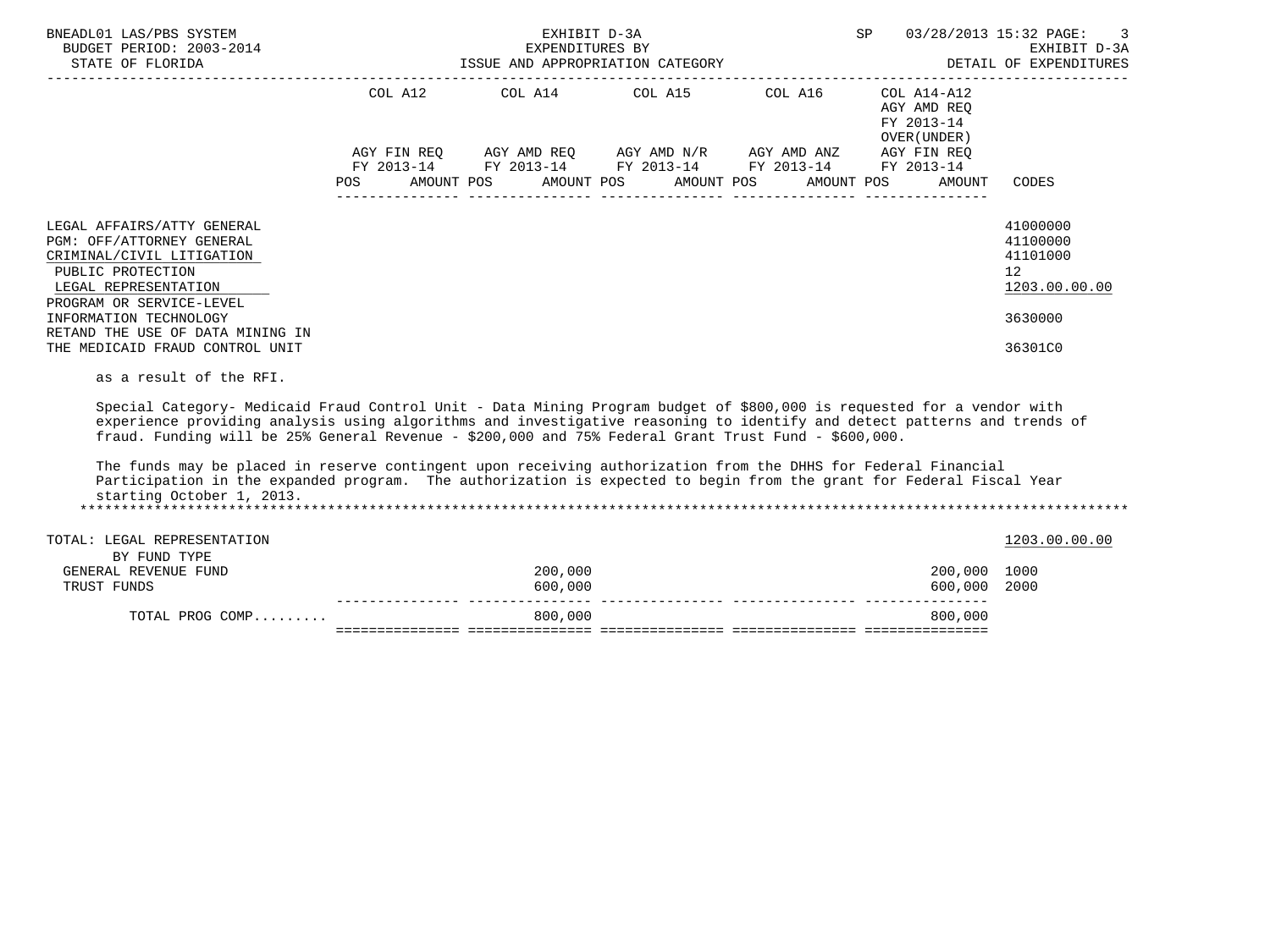| BNEADL01 LAS/PBS SYSTEM<br>BUDGET PERIOD: 2003-2014<br>STATE OF FLORIDA                                                                                                                                                                                                                                                                                                                                                                                                                                                                                                                                                                                      | EXHIBIT D-3A       |                                                                                                                                                                      | SP<br>03/28/2013 15:32 PAGE:                                                                        | 3                                                       |
|--------------------------------------------------------------------------------------------------------------------------------------------------------------------------------------------------------------------------------------------------------------------------------------------------------------------------------------------------------------------------------------------------------------------------------------------------------------------------------------------------------------------------------------------------------------------------------------------------------------------------------------------------------------|--------------------|----------------------------------------------------------------------------------------------------------------------------------------------------------------------|-----------------------------------------------------------------------------------------------------|---------------------------------------------------------|
|                                                                                                                                                                                                                                                                                                                                                                                                                                                                                                                                                                                                                                                              |                    | COL A12 COL A14 COL A15 COL A16 COL A14-A12<br>AGY FIN REQ AGY AMD REQ AGY AMD N/R AGY AMD ANZ AGY FIN REQ<br>FY 2013-14 FY 2013-14 FY 2013-14 FY 2013-14 FY 2013-14 | AGY AMD REO<br>FY 2013-14<br>OVER (UNDER)<br>POS AMOUNT POS AMOUNT POS AMOUNT POS AMOUNT POS AMOUNT | CODES                                                   |
| LEGAL AFFAIRS/ATTY GENERAL<br>PGM: OFF/ATTORNEY GENERAL<br>CRIMINAL/CIVIL LITIGATION<br>PUBLIC PROTECTION<br>LEGAL REPRESENTATION<br>PROGRAM OR SERVICE-LEVEL                                                                                                                                                                                                                                                                                                                                                                                                                                                                                                |                    |                                                                                                                                                                      |                                                                                                     | 41000000<br>41100000<br>41101000<br>12<br>1203.00.00.00 |
| INFORMATION TECHNOLOGY<br>RETAND THE USE OF DATA MINING IN<br>THE MEDICAID FRAUD CONTROL UNIT                                                                                                                                                                                                                                                                                                                                                                                                                                                                                                                                                                |                    |                                                                                                                                                                      |                                                                                                     | 3630000<br>36301C0                                      |
| as a result of the RFI.<br>Special Category- Medicaid Fraud Control Unit - Data Mining Program budget of \$800,000 is requested for a vendor with<br>experience providing analysis using algorithms and investigative reasoning to identify and detect patterns and trends of<br>fraud. Funding will be 25% General Revenue - \$200,000 and 75% Federal Grant Trust Fund - \$600,000.<br>The funds may be placed in reserve contingent upon receiving authorization from the DHHS for Federal Financial<br>Participation in the expanded program. The authorization is expected to begin from the grant for Federal Fiscal Year<br>starting October 1, 2013. |                    |                                                                                                                                                                      |                                                                                                     |                                                         |
| TOTAL: LEGAL REPRESENTATION                                                                                                                                                                                                                                                                                                                                                                                                                                                                                                                                                                                                                                  |                    |                                                                                                                                                                      |                                                                                                     | 1203.00.00.00                                           |
| BY FUND TYPE<br>GENERAL REVENUE FUND<br>TRUST FUNDS                                                                                                                                                                                                                                                                                                                                                                                                                                                                                                                                                                                                          | 200,000<br>600,000 |                                                                                                                                                                      | 200,000 1000<br>600,000                                                                             | 2000                                                    |
| TOTAL PROG COMP                                                                                                                                                                                                                                                                                                                                                                                                                                                                                                                                                                                                                                              | 800,000            |                                                                                                                                                                      | 800,000                                                                                             |                                                         |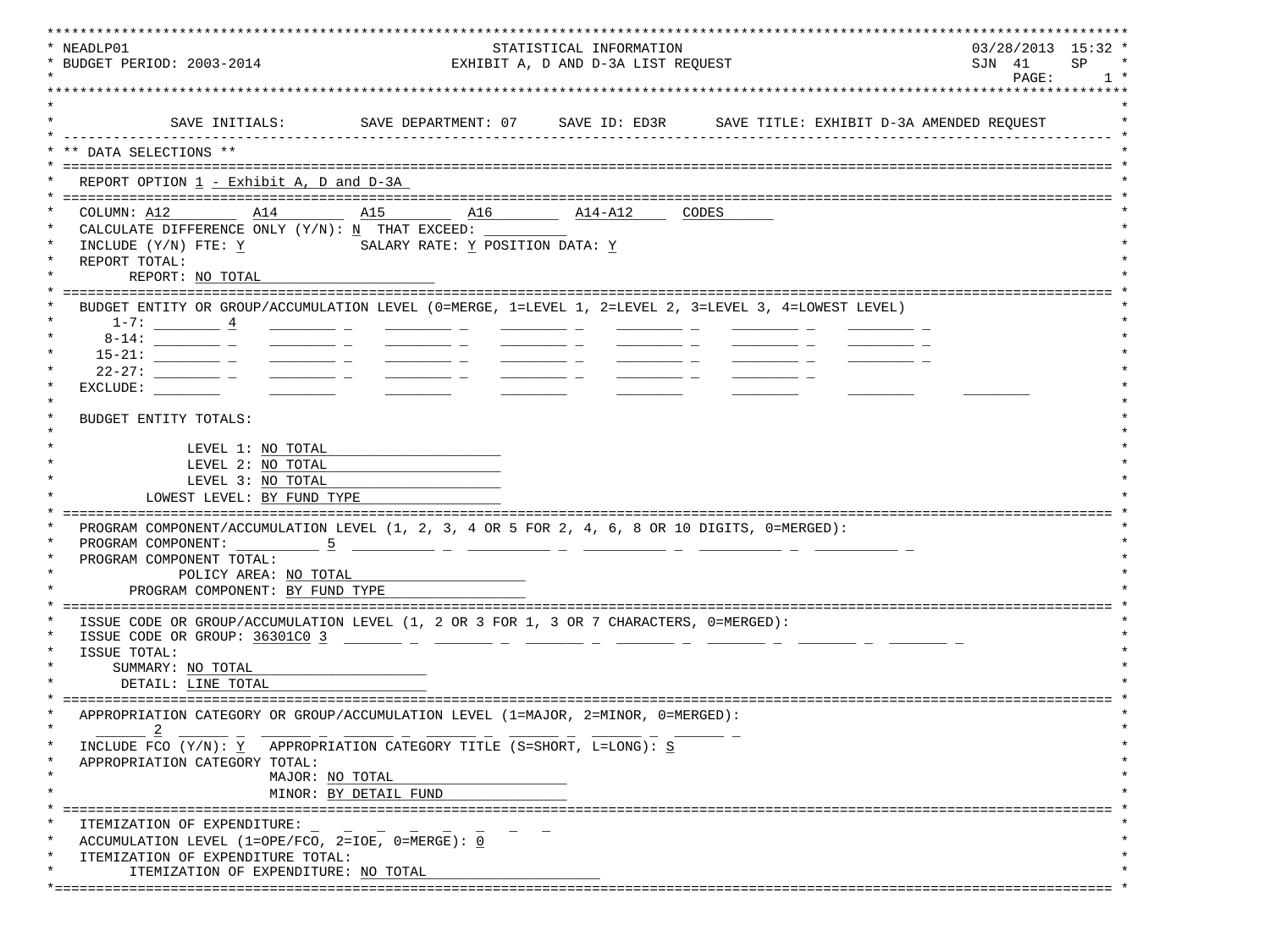| * NEADLP01<br>* BUDGET PERIOD: 2003-2014                                                                                                                                                                                                                                                                                                                                                                                                                                   |                                           | STATISTICAL INFORMATION<br>EXHIBIT A, D AND D-3A LIST REQUEST | $03/28/2013$ 15:32 *<br>SP<br>SJN 41 |
|----------------------------------------------------------------------------------------------------------------------------------------------------------------------------------------------------------------------------------------------------------------------------------------------------------------------------------------------------------------------------------------------------------------------------------------------------------------------------|-------------------------------------------|---------------------------------------------------------------|--------------------------------------|
|                                                                                                                                                                                                                                                                                                                                                                                                                                                                            |                                           |                                                               | PAGE:                                |
|                                                                                                                                                                                                                                                                                                                                                                                                                                                                            |                                           |                                                               |                                      |
|                                                                                                                                                                                                                                                                                                                                                                                                                                                                            |                                           |                                                               |                                      |
| SAVE INITIALS:                                                                                                                                                                                                                                                                                                                                                                                                                                                             |                                           |                                                               |                                      |
| ** DATA SELECTIONS **                                                                                                                                                                                                                                                                                                                                                                                                                                                      |                                           |                                                               |                                      |
|                                                                                                                                                                                                                                                                                                                                                                                                                                                                            |                                           |                                                               |                                      |
| REPORT OPTION 1 - Exhibit A, D and D-3A                                                                                                                                                                                                                                                                                                                                                                                                                                    |                                           |                                                               |                                      |
| COLUMN: A12<br>A14                                                                                                                                                                                                                                                                                                                                                                                                                                                         | A15 A16                                   | $\overline{\text{A14-A12}}$ CODES                             |                                      |
| CALCULATE DIFFERENCE ONLY $(Y/N): N$ THAT EXCEED:                                                                                                                                                                                                                                                                                                                                                                                                                          |                                           |                                                               |                                      |
| INCLUDE (Y/N) FTE: Y                                                                                                                                                                                                                                                                                                                                                                                                                                                       | SALARY RATE: Y POSITION DATA: Y           |                                                               |                                      |
| REPORT TOTAL:                                                                                                                                                                                                                                                                                                                                                                                                                                                              |                                           |                                                               |                                      |
| REPORT: NO TOTAL                                                                                                                                                                                                                                                                                                                                                                                                                                                           |                                           |                                                               |                                      |
|                                                                                                                                                                                                                                                                                                                                                                                                                                                                            |                                           |                                                               |                                      |
| BUDGET ENTITY OR GROUP/ACCUMULATION LEVEL (0=MERGE, 1=LEVEL 1, 2=LEVEL 2, 3=LEVEL 3, 4=LOWEST LEVEL)                                                                                                                                                                                                                                                                                                                                                                       |                                           |                                                               |                                      |
| $1-7:$ $4$                                                                                                                                                                                                                                                                                                                                                                                                                                                                 |                                           |                                                               |                                      |
|                                                                                                                                                                                                                                                                                                                                                                                                                                                                            |                                           |                                                               |                                      |
| $\frac{1}{2} \left( \frac{1}{2} \right) \left( \frac{1}{2} \right) \left( \frac{1}{2} \right) \left( \frac{1}{2} \right) \left( \frac{1}{2} \right) \left( \frac{1}{2} \right) \left( \frac{1}{2} \right) \left( \frac{1}{2} \right) \left( \frac{1}{2} \right) \left( \frac{1}{2} \right) \left( \frac{1}{2} \right) \left( \frac{1}{2} \right) \left( \frac{1}{2} \right) \left( \frac{1}{2} \right) \left( \frac{1}{2} \right) \left( \frac{1}{2} \right) \left( \frac$ |                                           |                                                               |                                      |
| EXCLUDE:                                                                                                                                                                                                                                                                                                                                                                                                                                                                   | <u> Albanya (Albanya Albanya)</u>         |                                                               |                                      |
|                                                                                                                                                                                                                                                                                                                                                                                                                                                                            |                                           |                                                               |                                      |
| BUDGET ENTITY TOTALS:                                                                                                                                                                                                                                                                                                                                                                                                                                                      |                                           |                                                               |                                      |
|                                                                                                                                                                                                                                                                                                                                                                                                                                                                            |                                           |                                                               |                                      |
| LEVEL 1: NO TOTAL                                                                                                                                                                                                                                                                                                                                                                                                                                                          |                                           |                                                               |                                      |
| LEVEL 2: NO TOTAL                                                                                                                                                                                                                                                                                                                                                                                                                                                          |                                           |                                                               |                                      |
| LEVEL 3: NO TOTAL                                                                                                                                                                                                                                                                                                                                                                                                                                                          |                                           |                                                               |                                      |
| LOWEST LEVEL: BY FUND TYPE                                                                                                                                                                                                                                                                                                                                                                                                                                                 |                                           |                                                               |                                      |
| PROGRAM COMPONENT/ACCUMULATION LEVEL (1, 2, 3, 4 OR 5 FOR 2, 4, 6, 8 OR 10 DIGITS, 0=MERGED):                                                                                                                                                                                                                                                                                                                                                                              |                                           |                                                               |                                      |
| PROGRAM COMPONENT: 5                                                                                                                                                                                                                                                                                                                                                                                                                                                       |                                           |                                                               |                                      |
| PROGRAM COMPONENT TOTAL:                                                                                                                                                                                                                                                                                                                                                                                                                                                   |                                           |                                                               |                                      |
| POLICY AREA: NO TOTAL                                                                                                                                                                                                                                                                                                                                                                                                                                                      |                                           |                                                               |                                      |
| PROGRAM COMPONENT: BY FUND TYPE                                                                                                                                                                                                                                                                                                                                                                                                                                            |                                           |                                                               |                                      |
|                                                                                                                                                                                                                                                                                                                                                                                                                                                                            |                                           |                                                               |                                      |
| ISSUE CODE OR GROUP/ACCUMULATION LEVEL (1, 2 OR 3 FOR 1, 3 OR 7 CHARACTERS, 0=MERGED):                                                                                                                                                                                                                                                                                                                                                                                     |                                           |                                                               |                                      |
| ISSUE CODE OR GROUP: 36301C0 3                                                                                                                                                                                                                                                                                                                                                                                                                                             | <u> 1999 - Jan Barnett, mars et al. (</u> |                                                               |                                      |
| ISSUE TOTAL:<br>SUMMARY: NO TOTAL                                                                                                                                                                                                                                                                                                                                                                                                                                          |                                           |                                                               |                                      |
| DETAIL: LINE TOTAL                                                                                                                                                                                                                                                                                                                                                                                                                                                         |                                           |                                                               |                                      |
|                                                                                                                                                                                                                                                                                                                                                                                                                                                                            |                                           |                                                               |                                      |
| APPROPRIATION CATEGORY OR GROUP/ACCUMULATION LEVEL (1=MAJOR, 2=MINOR, 0=MERGED):                                                                                                                                                                                                                                                                                                                                                                                           |                                           |                                                               |                                      |
| $\overline{\phantom{0}}^2$                                                                                                                                                                                                                                                                                                                                                                                                                                                 |                                           |                                                               |                                      |
| INCLUDE FCO (Y/N): Y APPROPRIATION CATEGORY TITLE (S=SHORT, L=LONG): S                                                                                                                                                                                                                                                                                                                                                                                                     |                                           |                                                               |                                      |
| APPROPRIATION CATEGORY TOTAL:                                                                                                                                                                                                                                                                                                                                                                                                                                              |                                           |                                                               |                                      |
| MAJOR: NO TOTAL                                                                                                                                                                                                                                                                                                                                                                                                                                                            |                                           |                                                               |                                      |
|                                                                                                                                                                                                                                                                                                                                                                                                                                                                            | MINOR: BY DETAIL FUND                     |                                                               |                                      |
|                                                                                                                                                                                                                                                                                                                                                                                                                                                                            |                                           |                                                               |                                      |
| ITEMIZATION OF EXPENDITURE:                                                                                                                                                                                                                                                                                                                                                                                                                                                |                                           |                                                               |                                      |
| ACCUMULATION LEVEL (1=OPE/FCO, 2=IOE, $0 = MERGE$ ): 0                                                                                                                                                                                                                                                                                                                                                                                                                     |                                           |                                                               |                                      |
| ITEMIZATION OF EXPENDITURE TOTAL:<br>ITEMIZATION OF EXPENDITURE: NO TOTAL                                                                                                                                                                                                                                                                                                                                                                                                  |                                           |                                                               |                                      |
|                                                                                                                                                                                                                                                                                                                                                                                                                                                                            |                                           |                                                               |                                      |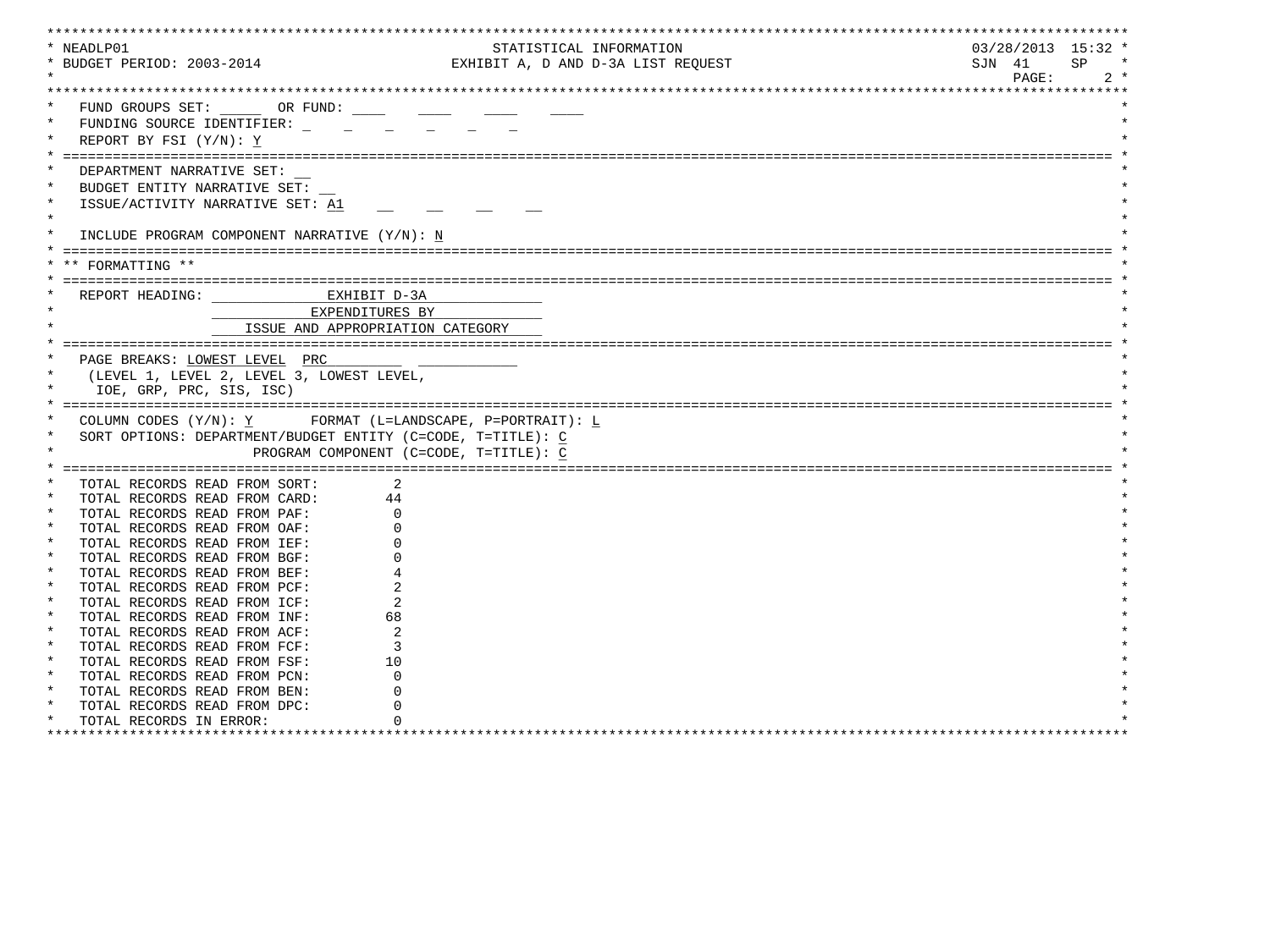| * NEADLP01                              |                                                               |                                                             | STATISTICAL INFORMATION            | $03/28/2013$ 15:32 * |       |
|-----------------------------------------|---------------------------------------------------------------|-------------------------------------------------------------|------------------------------------|----------------------|-------|
| * BUDGET PERIOD: 2003-2014              |                                                               |                                                             | EXHIBIT A, D AND D-3A LIST REQUEST | SJN 41               | SP    |
|                                         |                                                               |                                                             |                                    | PAGE:                | $2 *$ |
|                                         |                                                               |                                                             |                                    |                      |       |
|                                         | FUND GROUPS SET: OR FUND:                                     |                                                             |                                    |                      |       |
|                                         |                                                               |                                                             |                                    |                      |       |
| FUNDING SOURCE IDENTIFIER:              |                                                               |                                                             |                                    |                      |       |
| REPORT BY FSI (Y/N): Y                  |                                                               |                                                             |                                    |                      |       |
|                                         |                                                               |                                                             |                                    |                      |       |
| DEPARTMENT NARRATIVE SET:               |                                                               |                                                             |                                    |                      |       |
| BUDGET ENTITY NARRATIVE SET:            |                                                               |                                                             |                                    |                      |       |
| ISSUE/ACTIVITY NARRATIVE SET: A1        |                                                               |                                                             |                                    |                      |       |
| $\star$                                 |                                                               |                                                             |                                    |                      |       |
|                                         |                                                               |                                                             |                                    |                      |       |
|                                         | INCLUDE PROGRAM COMPONENT NARRATIVE (Y/N): N                  |                                                             |                                    |                      |       |
|                                         |                                                               |                                                             |                                    |                      |       |
| ** FORMATTING **                        |                                                               |                                                             |                                    |                      |       |
|                                         |                                                               |                                                             |                                    |                      |       |
|                                         | REPORT HEADING: CONTRACTED MANUSCRIPT D-3A                    |                                                             |                                    |                      |       |
|                                         | EXPENDITURES BY                                               |                                                             |                                    |                      |       |
|                                         |                                                               |                                                             |                                    |                      |       |
|                                         | ISSUE AND APPROPRIATION CATEGORY                              |                                                             |                                    |                      |       |
|                                         |                                                               |                                                             |                                    |                      |       |
| PAGE BREAKS: LOWEST LEVEL PRC           |                                                               |                                                             |                                    |                      |       |
|                                         |                                                               |                                                             |                                    |                      |       |
|                                         | (LEVEL 1, LEVEL 2, LEVEL 3, LOWEST LEVEL,                     |                                                             |                                    |                      |       |
| IOE, GRP, PRC, SIS, ISC)                |                                                               |                                                             |                                    |                      |       |
|                                         |                                                               |                                                             |                                    |                      |       |
|                                         |                                                               |                                                             |                                    |                      |       |
|                                         |                                                               | COLUMN CODES $(Y/N): Y$ FORMAT (L=LANDSCAPE, P=PORTRAIT): L |                                    |                      |       |
|                                         | SORT OPTIONS: DEPARTMENT/BUDGET ENTITY (C=CODE, T=TITLE): $C$ |                                                             |                                    |                      |       |
|                                         |                                                               | PROGRAM COMPONENT (C=CODE, T=TITLE): C                      |                                    |                      |       |
|                                         |                                                               |                                                             |                                    |                      |       |
| TOTAL RECORDS READ FROM SORT:           | 2                                                             |                                                             |                                    |                      |       |
| TOTAL RECORDS READ FROM CARD:           | 44                                                            |                                                             |                                    |                      |       |
| TOTAL RECORDS READ FROM PAF:            |                                                               |                                                             |                                    |                      |       |
| TOTAL RECORDS READ FROM OAF:            |                                                               |                                                             |                                    |                      |       |
| TOTAL RECORDS READ FROM IEF:            |                                                               |                                                             |                                    |                      |       |
| $\star$                                 |                                                               |                                                             |                                    |                      |       |
| TOTAL RECORDS READ FROM BGF:<br>$\ast$  |                                                               |                                                             |                                    |                      |       |
| TOTAL RECORDS READ FROM BEF:            |                                                               |                                                             |                                    |                      |       |
| TOTAL RECORDS READ FROM PCF:            |                                                               |                                                             |                                    |                      |       |
| TOTAL RECORDS READ FROM ICF:            |                                                               |                                                             |                                    |                      |       |
| TOTAL RECORDS READ FROM INF:            | 68                                                            |                                                             |                                    |                      |       |
| $\star$<br>TOTAL RECORDS READ FROM ACF: |                                                               |                                                             |                                    |                      |       |
| $\star$<br>TOTAL RECORDS READ FROM FCF: | 3                                                             |                                                             |                                    |                      |       |
| TOTAL RECORDS READ FROM FSF:            | 10                                                            |                                                             |                                    |                      |       |
| TOTAL RECORDS READ FROM PCN:            |                                                               |                                                             |                                    |                      |       |
| TOTAL RECORDS READ FROM BEN:            |                                                               |                                                             |                                    |                      |       |
| TOTAL RECORDS READ FROM DPC:            |                                                               |                                                             |                                    |                      |       |
| TOTAL RECORDS IN ERROR:                 |                                                               |                                                             |                                    |                      |       |